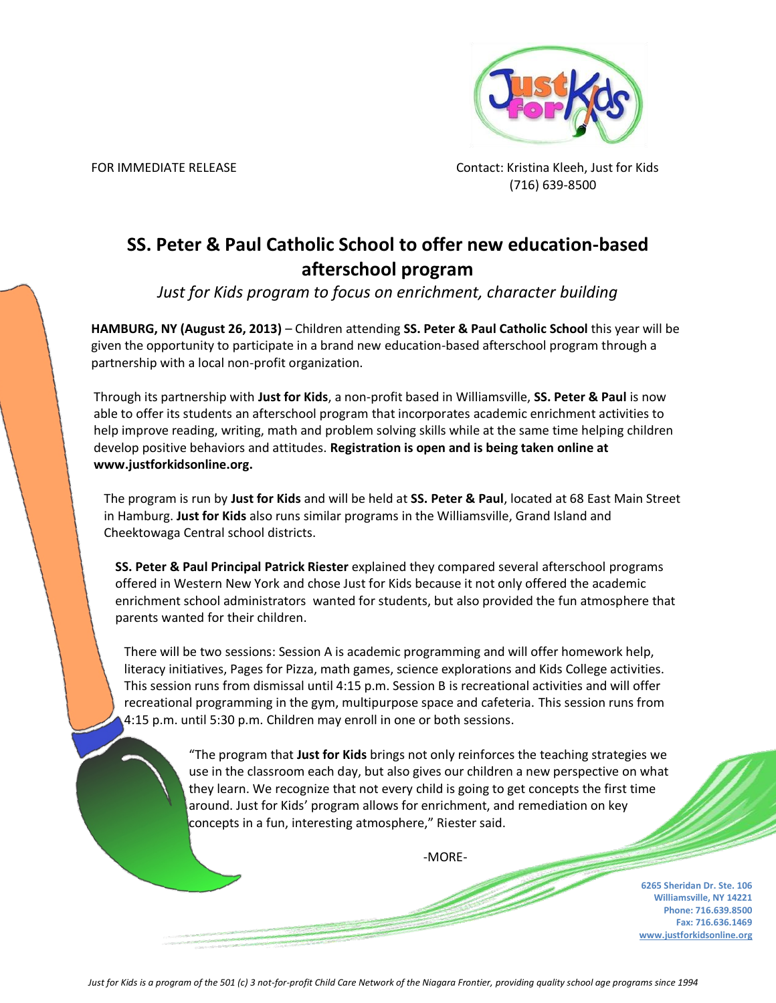

FOR IMMEDIATE RELEASE CONTACT: Kristina Kleeh, Just for Kids (716) 639-8500

## **SS. Peter & Paul Catholic School to offer new education-based afterschool program**

*Just for Kids program to focus on enrichment, character building*

**HAMBURG, NY (August 26, 2013)** – Children attending **SS. Peter & Paul Catholic School** this year will be given the opportunity to participate in a brand new education-based afterschool program through a partnership with a local non-profit organization.

Through its partnership with **Just for Kids**, a non-profit based in Williamsville, **SS. Peter & Paul** is now able to offer its students an afterschool program that incorporates academic enrichment activities to help improve reading, writing, math and problem solving skills while at the same time helping children develop positive behaviors and attitudes. **Registration is open and is being taken online at www.justforkidsonline.org.**

The program is run by **Just for Kids** and will be held at **SS. Peter & Paul**, located at 68 East Main Street in Hamburg. **Just for Kids** also runs similar programs in the Williamsville, Grand Island and Cheektowaga Central school districts.

**SS. Peter & Paul Principal Patrick Riester** explained they compared several afterschool programs offered in Western New York and chose Just for Kids because it not only offered the academic enrichment school administrators wanted for students, but also provided the fun atmosphere that parents wanted for their children.

There will be two sessions: Session A is academic programming and will offer homework help, literacy initiatives, Pages for Pizza, math games, science explorations and Kids College activities. This session runs from dismissal until 4:15 p.m. Session B is recreational activities and will offer recreational programming in the gym, multipurpose space and cafeteria. This session runs from 4:15 p.m. until 5:30 p.m. Children may enroll in one or both sessions.

> "The program that **Just for Kids** brings not only reinforces the teaching strategies we use in the classroom each day, but also gives our children a new perspective on what they learn. We recognize that not every child is going to get concepts the first time around. Just for Kids' program allows for enrichment, and remediation on key concepts in a fun, interesting atmosphere," Riester said.

> > -MORE-

**6265 Sheridan Dr. Ste. 106 Williamsville, NY 14221 Phone: 716.639.8500 Fax: 716.636.1469 www.justforkidsonline.org**